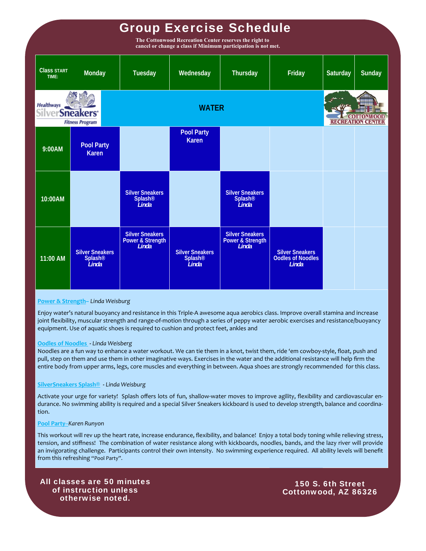# Group Exercise Schedule

**The Cottonwood Recreation Center reserves the right to cancel or change a class if Minimum participation is not met.** 

| <b>Class START</b><br>TIME:                                          | Monday                                            | Tuesday                                                        | Wednesday                                              | Thursday                                                       | Friday                                                      | Saturday | Sunday                   |  |  |
|----------------------------------------------------------------------|---------------------------------------------------|----------------------------------------------------------------|--------------------------------------------------------|----------------------------------------------------------------|-------------------------------------------------------------|----------|--------------------------|--|--|
| <b>Healthways</b><br><b>SilverSneakers</b><br><b>Fitness Program</b> |                                                   | <b>WATER</b>                                                   |                                                        |                                                                |                                                             |          | <b>RECREATION CENTER</b> |  |  |
| 9:00AM                                                               | <b>Pool Party</b><br><b>Karen</b>                 |                                                                | <b>Pool Party</b><br><b>Karen</b>                      |                                                                |                                                             |          |                          |  |  |
| 10:00AM                                                              |                                                   | <b>Silver Sneakers</b><br><b>Splash®</b><br>Linda              |                                                        | <b>Silver Sneakers</b><br>Splash®<br>Linda                     |                                                             |          |                          |  |  |
| $11:00$ AM                                                           | <b>Silver Sneakers</b><br><b>Splash®</b><br>Linda | <b>Silver Sneakers</b><br><b>Power &amp; Strength</b><br>Linda | <b>Silver Sneakers</b><br>Splash <sup>®</sup><br>Linda | <b>Silver Sneakers</b><br><b>Power &amp; Strength</b><br>Linda | <b>Silver Sneakers</b><br><b>Oodles of Noodles</b><br>Linda |          |                          |  |  |

#### **Power & Strength–** *Linda Weisburg*

Enjoy water's natural buoyancy and resistance in this Triple‐A awesome aqua aerobics class. Improve overall stamina and increase joint flexibility, muscular strength and range-of-motion through a series of peppy water aerobic exercises and resistance/buoyancy equipment. Use of aquatic shoes is required to cushion and protect feet, ankles and

#### **Oodles of Noodles ‐** *Linda Weisberg*

Noodles are a fun way to enhance a water workout. We can tie them in a knot, twist them, ride 'em cowboy‐style, float, push and pull, step on them and use them in other imaginative ways. Exercises in the water and the additional resistance will help firm the entire body from upper arms, legs, core muscles and everything in between. Aqua shoes are strongly recommended for this class.

#### **SilverSneakers Splash®** *‐ Linda Weisburg*

Activate your urge for variety! Splash offers lots of fun, shallow‐water moves to improve agility, flexibility and cardiovascular en‐ durance. No swimming ability is required and a special Silver Sneakers kickboard is used to develop strength, balance and coordination.

#### **Pool Party**–*Karen Runyon*

This workout will rev up the heart rate, increase endurance, flexibility, and balance! Enjoy a total body toning while relieving stress, tension, and stiffness! The combination of water resistance along with kickboards, noodles, bands, and the lazy river will provide an invigorating challenge. Participants control their own intensity. No swimming experience required. All ability levels will benefit from this refreshing "Pool Party".

All classes are 50 minutes of instruction unless otherwise noted.

150 S. 6th Street Cottonwood, AZ 86326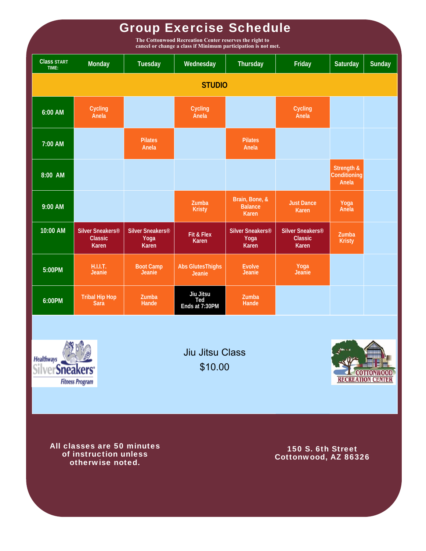# Group Exercise Schedule

**The Cottonwood Recreation Center reserves the right to cancel or change a class if Minimum participation is not met.** 

| <b>Class START</b><br>TIME: | Monday                                                  | Tuesday                                              | Wednesday                          | Thursday                                      | Friday                                                  | Saturday                            | Sunday |  |  |  |  |  |
|-----------------------------|---------------------------------------------------------|------------------------------------------------------|------------------------------------|-----------------------------------------------|---------------------------------------------------------|-------------------------------------|--------|--|--|--|--|--|
| <b>STUDIO</b>               |                                                         |                                                      |                                    |                                               |                                                         |                                     |        |  |  |  |  |  |
| 6:00 AM                     | Cycling<br>Anela                                        |                                                      | Cycling<br>Anela                   |                                               | Cycling<br>Anela                                        |                                     |        |  |  |  |  |  |
| 7:00 AM                     |                                                         | <b>Pilates</b><br>Anela                              |                                    | <b>Pilates</b><br>Anela                       |                                                         |                                     |        |  |  |  |  |  |
| 8:00 AM                     |                                                         |                                                      |                                    |                                               |                                                         | Strength &<br>Conditioning<br>Anela |        |  |  |  |  |  |
| 9:00 AM                     |                                                         |                                                      | Zumba<br><b>Kristy</b>             | Brain, Bone, &<br><b>Balance</b><br>Karen     | <b>Just Dance</b><br><b>Karen</b>                       | Yoga<br>Anela                       |        |  |  |  |  |  |
| 10:00 AM                    | Silver Sneakers <sup>®</sup><br><b>Classic</b><br>Karen | Silver Sneakers <sup>®</sup><br>Yoga<br><b>Karen</b> | Fit & Flex<br><b>Karen</b>         | Silver Sneakers <sup>®</sup><br>Yoga<br>Karen | Silver Sneakers <sup>®</sup><br><b>Classic</b><br>Karen | Zumba<br><b>Kristy</b>              |        |  |  |  |  |  |
| 5:00PM                      | H.I.I.T.<br>Jeanie                                      | <b>Boot Camp</b><br>Jeanie                           | <b>Abs GlutesThighs</b><br>Jeanie  | <b>Evolve</b><br>Jeanie                       | Yoga<br>Jeanie                                          |                                     |        |  |  |  |  |  |
| 6:00PM                      | <b>Tribal Hip Hop</b><br>Sara                           | Zumba<br>Hande                                       | Jiu Jitsu<br>Ted<br>Ends at 7:30PM | Zumba<br>Hande                                |                                                         |                                     |        |  |  |  |  |  |
|                             |                                                         |                                                      |                                    |                                               |                                                         |                                     |        |  |  |  |  |  |



Jiu Jitsu Class \$10.00



All classes are 50 minutes of instruction unless otherwise noted.

150 S. 6th Street Cottonwood, AZ 86326